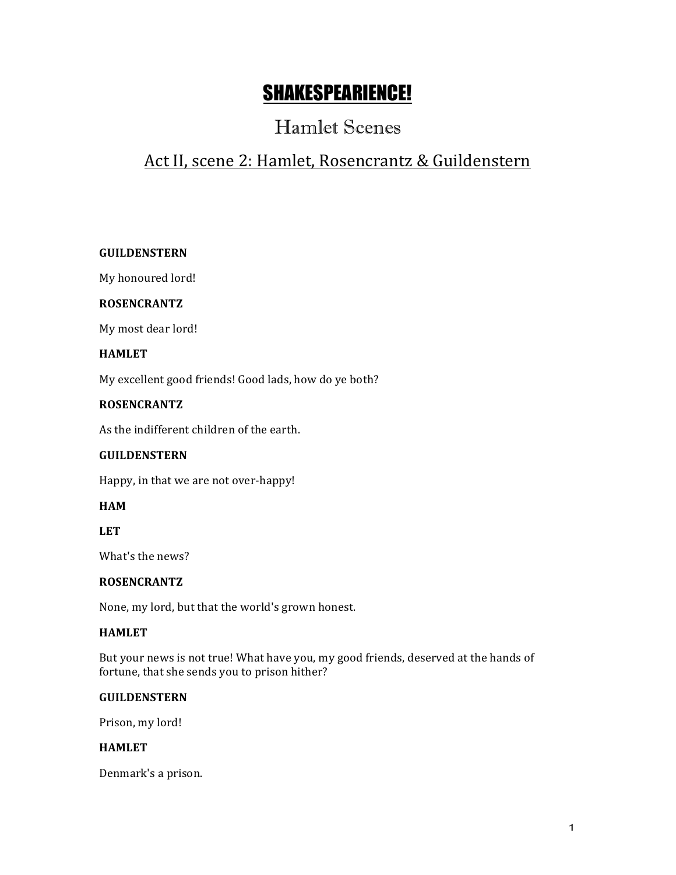# SHAKESPEARIENCE!

## Hamlet Scenes

## Act II, scene 2: Hamlet, Rosencrantz & Guildenstern

## **GUILDENSTERN**

My honoured lord!

#### **ROSENCRANTZ**

My most dear lord!

#### **HAMLET**

My excellent good friends! Good lads, how do ye both?

## **ROSENCRANTZ**

As the indifferent children of the earth.

## **GUILDENSTERN**

Happy, in that we are not over-happy!

## **HAM**

**LET**

What's the news?

#### **ROSENCRANTZ**

None, my lord, but that the world's grown honest.

#### **HAMLET**

But your news is not true! What have you, my good friends, deserved at the hands of fortune, that she sends you to prison hither?

#### **GUILDENSTERN**

Prison, my lord!

#### **HAMLET**

Denmark's a prison.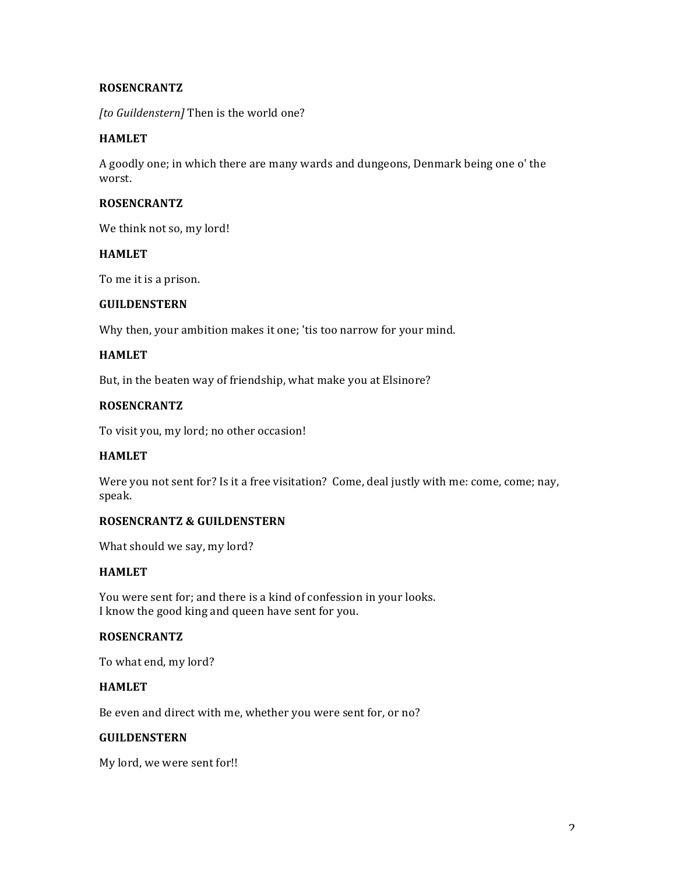### **ROSENCRANTZ**

*[to Guildenstern]* Then is the world one?

#### **HAMLET**

A goodly one; in which there are many wards and dungeons, Denmark being one o' the worst.

#### **ROSENCRANTZ**

We think not so, my lord!

#### **HAMLET**

To me it is a prison.

#### **GUILDENSTERN**

Why then, your ambition makes it one; 'tis too narrow for your mind.

#### **HAMLET**

But, in the beaten way of friendship, what make you at Elsinore?

#### **ROSENCRANTZ**

To visit you, my lord; no other occasion!

## **HAMLET**

Were you not sent for? Is it a free visitation? Come, deal justly with me: come, come; nay, speak.

#### **ROSENCRANTZ & GUILDENSTERN**

What should we say, my lord?

### **HAMLET**

You were sent for; and there is a kind of confession in your looks. I know the good king and queen have sent for you.

#### **ROSENCRANTZ**

To what end, my lord?

## **HAMLET**

Be even and direct with me, whether you were sent for, or no?

## **GUILDENSTERN**

My lord, we were sent for!!